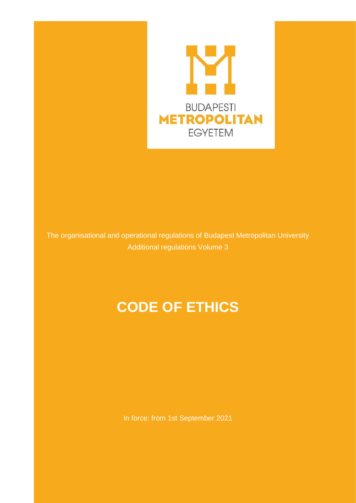

The organisational and operational regulations of Budapest Metropolitan University Additional regulations Volume 3

# **CODE OF ETHICS**

In force: from 1st September 2021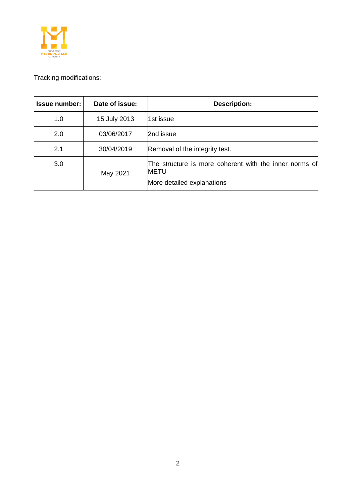

# Tracking modifications:

| <b>Issue number:</b> | Date of issue: | <b>Description:</b>                                                                                 |
|----------------------|----------------|-----------------------------------------------------------------------------------------------------|
| 1.0                  | 15 July 2013   | 1st issue                                                                                           |
| 2.0                  | 03/06/2017     | 2nd issue                                                                                           |
| 2.1                  | 30/04/2019     | Removal of the integrity test.                                                                      |
| 3.0                  | May 2021       | The structure is more coherent with the inner norms of<br><b>METU</b><br>More detailed explanations |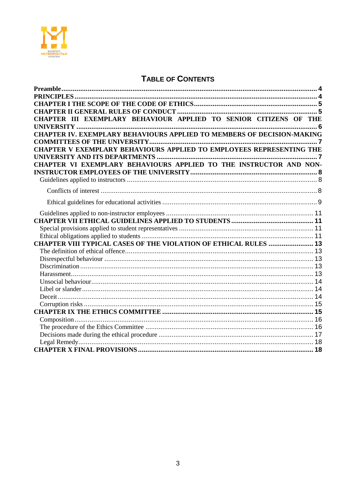

# **TABLE OF CONTENTS**

| CHAPTER III EXEMPLARY BEHAVIOUR APPLIED TO SENIOR CITIZENS OF THE             |  |
|-------------------------------------------------------------------------------|--|
|                                                                               |  |
| <b>CHAPTER IV. EXEMPLARY BEHAVIOURS APPLIED TO MEMBERS OF DECISION-MAKING</b> |  |
|                                                                               |  |
| CHAPTER V EXEMPLARY BEHAVIOURS APPLIED TO EMPLOYEES REPRESENTING THE          |  |
|                                                                               |  |
| CHAPTER VI EXEMPLARY BEHAVIOURS APPLIED TO THE INSTRUCTOR AND NON-            |  |
|                                                                               |  |
|                                                                               |  |
|                                                                               |  |
|                                                                               |  |
|                                                                               |  |
|                                                                               |  |
|                                                                               |  |
|                                                                               |  |
| <b>CHAPTER VIII TYPICAL CASES OF THE VIOLATION OF ETHICAL RULES  13</b>       |  |
|                                                                               |  |
|                                                                               |  |
|                                                                               |  |
|                                                                               |  |
|                                                                               |  |
|                                                                               |  |
|                                                                               |  |
|                                                                               |  |
|                                                                               |  |
|                                                                               |  |
|                                                                               |  |
|                                                                               |  |
|                                                                               |  |
|                                                                               |  |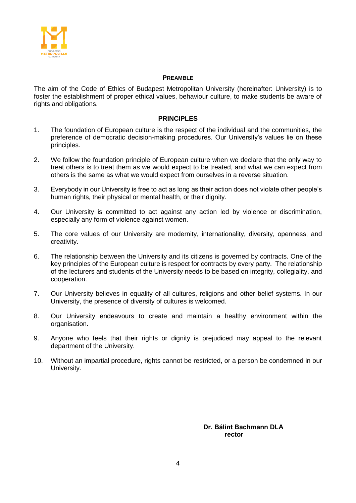

#### **PREAMBLE**

<span id="page-3-0"></span>The aim of the Code of Ethics of Budapest Metropolitan University (hereinafter: University) is to foster the establishment of proper ethical values, behaviour culture, to make students be aware of rights and obligations.

#### **PRINCIPLES**

- <span id="page-3-1"></span>1. The foundation of European culture is the respect of the individual and the communities, the preference of democratic decision-making procedures. Our University's values lie on these principles.
- 2. We follow the foundation principle of European culture when we declare that the only way to treat others is to treat them as we would expect to be treated, and what we can expect from others is the same as what we would expect from ourselves in a reverse situation.
- 3. Everybody in our University is free to act as long as their action does not violate other people's human rights, their physical or mental health, or their dignity.
- 4. Our University is committed to act against any action led by violence or discrimination, especially any form of violence against women.
- 5. The core values of our University are modernity, internationality, diversity, openness, and creativity.
- 6. The relationship between the University and its citizens is governed by contracts. One of the key principles of the European culture is respect for contracts by every party. The relationship of the lecturers and students of the University needs to be based on integrity, collegiality, and cooperation.
- 7. Our University believes in equality of all cultures, religions and other belief systems. In our University, the presence of diversity of cultures is welcomed.
- 8. Our University endeavours to create and maintain a healthy environment within the organisation.
- 9. Anyone who feels that their rights or dignity is prejudiced may appeal to the relevant department of the University.
- 10. Without an impartial procedure, rights cannot be restricted, or a person be condemned in our University.

**Dr. Bálint Bachmann DLA rector**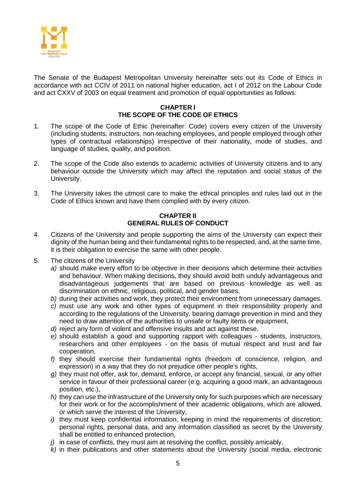

The Senate of the Budapest Metropolitan University hereinafter sets out its Code of Ethics in accordance with act CCIV of 2011 on national higher education, act I of 2012 on the Labour Code and act CXXV of 2003 on equal treatment and promotion of equal opportunities as follows:

#### **CHAPTER I THE SCOPE OF THE CODE OF ETHICS**

- <span id="page-4-0"></span>1. The scope of the Code of Ethic (hereinafter: Code) covers every citizen of the University (including students, instructors, non-teaching employees, and people employed through other types of contractual relationships) irrespective of their nationality, mode of studies, and language of studies, quality, and position.
- 2. The scope of the Code also extends to academic activities of University citizens and to any behaviour outside the University which may affect the reputation and social status of the University.
- 3. The University takes the utmost care to make the ethical principles and rules laid out in the Code of Ethics known and have them complied with by every citizen.

# **CHAPTER II GENERAL RULES OF CONDUCT**

- <span id="page-4-1"></span>4. Citizens of the University and people supporting the aims of the University can expect their dignity of the human being and their fundamental rights to be respected, and, at the same time, it is their obligation to exercise the same with other people.
- 5. The citizens of the University
	- *a)* should make every effort to be objective in their decisions which determine their activities and behaviour. When making decisions, they should avoid both unduly advantageous and disadvantageous judgements that are based on previous knowledge as well as discrimination on ethnic, religious, political, and gender bases,
	- *b)* during their activities and work, they protect their environment from unnecessary damages.
	- *c)* must use any work and other types of equipment in their responsibility properly and according to the regulations of the University, bearing damage prevention in mind and they need to draw attention of the authorities to unsafe or faulty items or equipment,
	- *d)* reject any form of violent and offensive insults and act against these,
	- *e)* should establish a good and supporting rapport with colleagues students, instructors, researchers and other employees - on the basis of mutual respect and trust and fair cooperation,
	- *f)* they should exercise their fundamental rights (freedom of conscience, religion, and expression) in a way that they do not prejudice other people's rights,
	- *g)* they must not offer, ask for, demand, enforce, or accept any financial, sexual, or any other service in favour of their professional career (e.g. acquiring a good mark, an advantageous position, etc.),
	- *h)* they can use the infrastructure of the University only for such purposes which are necessary for their work or for the accomplishment of their academic obligations, which are allowed, or which serve the interest of the University,
	- *i)* they must keep confidential information, keeping in mind the requirements of discretion; personal rights, personal data, and any information classified as secret by the University shall be entitled to enhanced protection,
	- *j*) in case of conflicts, they must aim at resolving the conflict, possibly amicably,
	- *k)* in their publications and other statements about the University (social media, electronic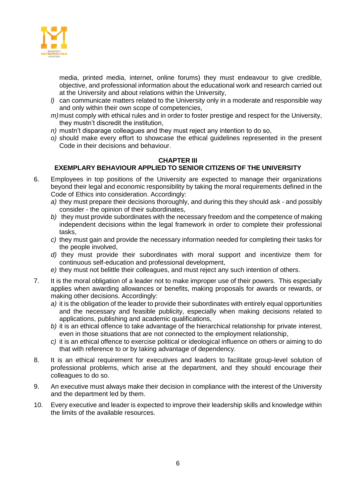

media, printed media, internet, online forums) they must endeavour to give credible, objective, and professional information about the educational work and research carried out at the University and about relations within the University,

- *l)* can communicate matters related to the University only in a moderate and responsible way and only within their own scope of competencies,
- *m)*must comply with ethical rules and in order to foster prestige and respect for the University, they mustn't discredit the institution,
- *n)* mustn't disparage colleagues and they must reject any intention to do so,
- *o)* should make every effort to showcase the ethical guidelines represented in the present Code in their decisions and behaviour.

#### <span id="page-5-0"></span>**CHAPTER III EXEMPLARY BEHAVIOUR APPLIED TO SENIOR CITIZENS OF THE UNIVERSITY**

- 6. Employees in top positions of the University are expected to manage their organizations beyond their legal and economic responsibility by taking the moral requirements defined in the Code of Ethics into consideration. Accordingly:
	- *a)* they must prepare their decisions thoroughly, and during this they should ask and possibly consider - the opinion of their subordinates,
	- *b)* they must provide subordinates with the necessary freedom and the competence of making independent decisions within the legal framework in order to complete their professional tasks,
	- *c)* they must gain and provide the necessary information needed for completing their tasks for the people involved,
	- *d)* they must provide their subordinates with moral support and incentivize them for continuous self-education and professional development,
	- *e)* they must not belittle their colleagues, and must reject any such intention of others.
- 7. It is the moral obligation of a leader not to make improper use of their powers. This especially applies when awarding allowances or benefits, making proposals for awards or rewards, or making other decisions. Accordingly:
	- *a)* it is the obligation of the leader to provide their subordinates with entirely equal opportunities and the necessary and feasible publicity, especially when making decisions related to applications, publishing and academic qualifications,
	- *b)* it is an ethical offence to take advantage of the hierarchical relationship for private interest, even in those situations that are not connected to the employment relationship,
	- *c)* it is an ethical offence to exercise political or ideological influence on others or aiming to do that with reference to or by taking advantage of dependency.
- 8. It is an ethical requirement for executives and leaders to facilitate group-level solution of professional problems, which arise at the department, and they should encourage their colleagues to do so.
- 9. An executive must always make their decision in compliance with the interest of the University and the department led by them.
- 10. Every executive and leader is expected to improve their leadership skills and knowledge within the limits of the available resources.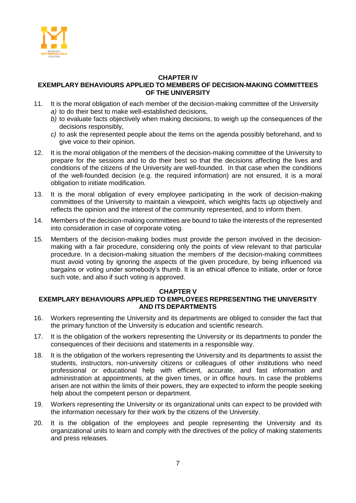

#### <span id="page-6-0"></span>**CHAPTER IV EXEMPLARY BEHAVIOURS APPLIED TO MEMBERS OF DECISION-MAKING COMMITTEES OF THE UNIVERSITY**

- 11. It is the moral obligation of each member of the decision-making committee of the University *a)* to do their best to make well-established decisions,
	- *b)* to evaluate facts objectively when making decisions, to weigh up the consequences of the decisions responsibly,
	- *c)* to ask the represented people about the items on the agenda possibly beforehand, and to give voice to their opinion.
- 12. It is the moral obligation of the members of the decision-making committee of the University to prepare for the sessions and to do their best so that the decisions affecting the lives and conditions of the citizens of the University are well-founded. In that case when the conditions of the well-founded decision (e.g. the required information) are not ensured, it is a moral obligation to initiate modification.
- 13. It is the moral obligation of every employee participating in the work of decision-making committees of the University to maintain a viewpoint, which weights facts up objectively and reflects the opinion and the interest of the community represented, and to inform them.
- 14. Members of the decision-making committees are bound to take the interests of the represented into consideration in case of corporate voting.
- 15. Members of the decision-making bodies must provide the person involved in the decisionmaking with a fair procedure, considering only the points of view relevant to that particular procedure. In a decision-making situation the members of the decision-making committees must avoid voting by ignoring the aspects of the given procedure, by being influenced via bargains or voting under somebody's thumb. It is an ethical offence to initiate, order or force such vote, and also if such voting is approved.

# **CHAPTER V**

# <span id="page-6-1"></span>**EXEMPLARY BEHAVIOURS APPLIED TO EMPLOYEES REPRESENTING THE UNIVERSITY AND ITS DEPARTMENTS**

- 16. Workers representing the University and its departments are obliged to consider the fact that the primary function of the University is education and scientific research.
- 17. It is the obligation of the workers representing the University or its departments to ponder the consequences of their decisions and statements in a responsible way.
- 18. It is the obligation of the workers representing the University and its departments to assist the students, instructors, non-university citizens or colleagues of other institutions who need professional or educational help with efficient, accurate, and fast information and administration at appointments, at the given times, or in office hours. In case the problems arisen are not within the limits of their powers, they are expected to inform the people seeking help about the competent person or department.
- 19. Workers representing the University or its organizational units can expect to be provided with the information necessary for their work by the citizens of the University.
- 20. It is the obligation of the employees and people representing the University and its organizational units to learn and comply with the directives of the policy of making statements and press releases.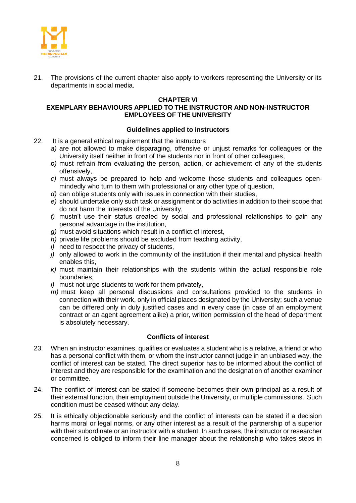

21. The provisions of the current chapter also apply to workers representing the University or its departments in social media.

#### **CHAPTER VI**

# <span id="page-7-0"></span>**EXEMPLARY BEHAVIOURS APPLIED TO THE INSTRUCTOR AND NON-INSTRUCTOR EMPLOYEES OF THE UNIVERSITY**

#### **Guidelines applied to instructors**

- <span id="page-7-1"></span>22. It is a general ethical requirement that the instructors
	- *a)* are not allowed to make disparaging, offensive or unjust remarks for colleagues or the University itself neither in front of the students nor in front of other colleagues,
	- *b)* must refrain from evaluating the person, action, or achievement of any of the students offensively,
	- *c)* must always be prepared to help and welcome those students and colleagues openmindedly who turn to them with professional or any other type of question,
	- *d)* can oblige students only with issues in connection with their studies,
	- *e)* should undertake only such task or assignment or do activities in addition to their scope that do not harm the interests of the University,
	- *f)* mustn't use their status created by social and professional relationships to gain any personal advantage in the institution,
	- *g)* must avoid situations which result in a conflict of interest,
	- *h)* private life problems should be excluded from teaching activity,
	- *i)* need to respect the privacy of students,
	- *j)* only allowed to work in the community of the institution if their mental and physical health enables this,
	- *k)* must maintain their relationships with the students within the actual responsible role boundaries,
	- *l)* must not urge students to work for them privately,
	- *m)* must keep all personal discussions and consultations provided to the students in connection with their work, only in official places designated by the University; such a venue can be differed only in duly justified cases and in every case (in case of an employment contract or an agent agreement alike) a prior, written permission of the head of department is absolutely necessary.

#### **Conflicts of interest**

- <span id="page-7-2"></span>23. When an instructor examines, qualifies or evaluates a student who is a relative, a friend or who has a personal conflict with them, or whom the instructor cannot judge in an unbiased way, the conflict of interest can be stated. The direct superior has to be informed about the conflict of interest and they are responsible for the examination and the designation of another examiner or committee.
- 24. The conflict of interest can be stated if someone becomes their own principal as a result of their external function, their employment outside the University, or multiple commissions. Such condition must be ceased without any delay.
- 25. It is ethically objectionable seriously and the conflict of interests can be stated if a decision harms moral or legal norms, or any other interest as a result of the partnership of a superior with their subordinate or an instructor with a student. In such cases, the instructor or researcher concerned is obliged to inform their line manager about the relationship who takes steps in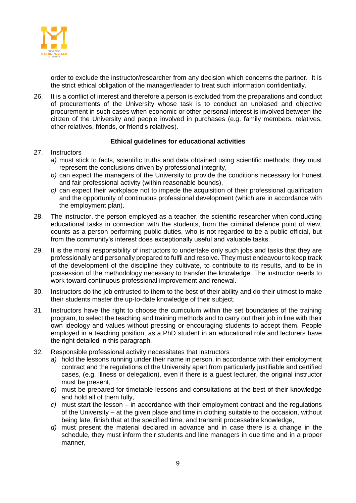

order to exclude the instructor/researcher from any decision which concerns the partner. It is the strict ethical obligation of the manager/leader to treat such information confidentially.

26. It is a conflict of interest and therefore a person is excluded from the preparations and conduct of procurements of the University whose task is to conduct an unbiased and objective procurement in such cases when economic or other personal interest is involved between the citizen of the University and people involved in purchases (e.g. family members, relatives, other relatives, friends, or friend's relatives).

# **Ethical guidelines for educational activities**

#### <span id="page-8-0"></span>27. Instructors

- *a)* must stick to facts, scientific truths and data obtained using scientific methods; they must represent the conclusions driven by professional integrity,
- *b)* can expect the managers of the University to provide the conditions necessary for honest and fair professional activity (within reasonable bounds),
- *c)* can expect their workplace not to impede the acquisition of their professional qualification and the opportunity of continuous professional development (which are in accordance with the employment plan).
- 28. The instructor, the person employed as a teacher, the scientific researcher when conducting educational tasks in connection with the students, from the criminal defence point of view, counts as a person performing public duties, who is not regarded to be a public official, but from the community's interest does exceptionally useful and valuable tasks.
- 29. It is the moral responsibility of instructors to undertake only such jobs and tasks that they are professionally and personally prepared to fulfil and resolve. They must endeavour to keep track of the development of the discipline they cultivate, to contribute to its results, and to be in possession of the methodology necessary to transfer the knowledge. The instructor needs to work toward continuous professional improvement and renewal.
- 30. Instructors do the job entrusted to them to the best of their ability and do their utmost to make their students master the up-to-date knowledge of their subject.
- 31. Instructors have the right to choose the curriculum within the set boundaries of the training program, to select the teaching and training methods and to carry out their job in line with their own ideology and values without pressing or encouraging students to accept them. People employed in a teaching position, as a PhD student in an educational role and lecturers have the right detailed in this paragraph.
- 32. Responsible professional activity necessitates that instructors
	- *a)* hold the lessons running under their name in person, in accordance with their employment contract and the regulations of the University apart from particularly justifiable and certified cases, (e.g. illness or delegation), even if there is a guest lecturer, the original instructor must be present,
	- *b)* must be prepared for timetable lessons and consultations at the best of their knowledge and hold all of them fully,
	- *c)* must start the lesson in accordance with their employment contract and the regulations of the University – at the given place and time in clothing suitable to the occasion, without being late, finish that at the specified time, and transmit processable knowledge,
	- *d)* must present the material declared in advance and in case there is a change in the schedule, they must inform their students and line managers in due time and in a proper manner,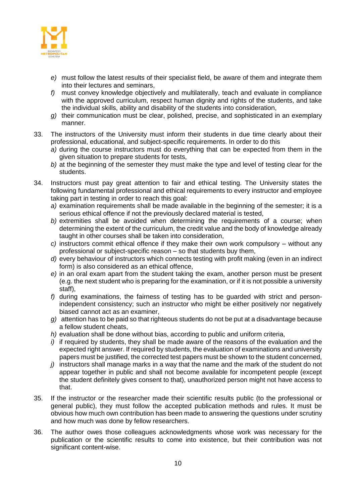

- *e)* must follow the latest results of their specialist field, be aware of them and integrate them into their lectures and seminars,
- *f)* must convey knowledge objectively and multilaterally, teach and evaluate in compliance with the approved curriculum, respect human dignity and rights of the students, and take the individual skills, ability and disability of the students into consideration,
- *g)* their communication must be clear, polished, precise, and sophisticated in an exemplary manner.
- 33. The instructors of the University must inform their students in due time clearly about their professional, educational, and subject-specific requirements. In order to do this
	- *a)* during the course instructors must do everything that can be expected from them in the given situation to prepare students for tests,
	- *b)* at the beginning of the semester they must make the type and level of testing clear for the students.
- 34. Instructors must pay great attention to fair and ethical testing. The University states the following fundamental professional and ethical requirements to every instructor and employee taking part in testing in order to reach this goal:
	- *a)* examination requirements shall be made available in the beginning of the semester; it is a serious ethical offence if not the previously declared material is tested,
	- *b)* extremities shall be avoided when determining the requirements of a course; when determining the extent of the curriculum, the credit value and the body of knowledge already taught in other courses shall be taken into consideration,
	- *c)* instructors commit ethical offence if they make their own work compulsory without any professional or subject-specific reason – so that students buy them,
	- *d)* every behaviour of instructors which connects testing with profit making (even in an indirect form) is also considered as an ethical offence,
	- *e)* in an oral exam apart from the student taking the exam, another person must be present (e.g. the next student who is preparing for the examination, or if it is not possible a university staff),
	- *f)* during examinations, the fairness of testing has to be guarded with strict and personindependent consistency; such an instructor who might be either positively nor negatively biased cannot act as an examiner,
	- *g)* attention has to be paid so that righteous students do not be put at a disadvantage because a fellow student cheats,
	- *h)* evaluation shall be done without bias, according to public and uniform criteria,
	- *i)* if required by students, they shall be made aware of the reasons of the evaluation and the expected right answer. If required by students, the evaluation of examinations and university papers must be justified, the corrected test papers must be shown to the student concerned,
	- *j)* instructors shall manage marks in a way that the name and the mark of the student do not appear together in public and shall not become available for incompetent people (except the student definitely gives consent to that), unauthorized person might not have access to that.
- 35. If the instructor or the researcher made their scientific results public (to the professional or general public), they must follow the accepted publication methods and rules. It must be obvious how much own contribution has been made to answering the questions under scrutiny and how much was done by fellow researchers.
- 36. The author owes those colleagues acknowledgments whose work was necessary for the publication or the scientific results to come into existence, but their contribution was not significant content-wise.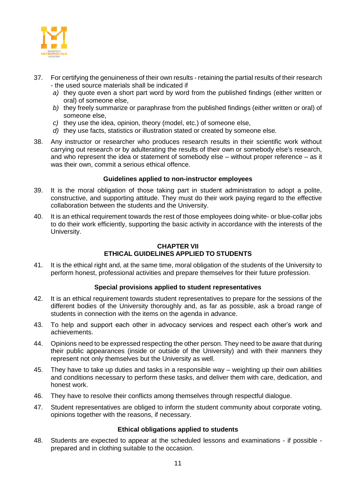

- 37. For certifying the genuineness of their own results retaining the partial results of their research - the used source materials shall be indicated if
	- *a)* they quote even a short part word by word from the published findings (either written or oral) of someone else,
	- *b)* they freely summarize or paraphrase from the published findings (either written or oral) of someone else,
	- *c)* they use the idea, opinion, theory (model, etc.) of someone else,
	- *d)* they use facts, statistics or illustration stated or created by someone else.
- 38. Any instructor or researcher who produces research results in their scientific work without carrying out research or by adulterating the results of their own or somebody else's research, and who represent the idea or statement of somebody else – without proper reference – as it was their own, commit a serious ethical offence.

#### **Guidelines applied to non-instructor employees**

- <span id="page-10-0"></span>39. It is the moral obligation of those taking part in student administration to adopt a polite, constructive, and supporting attitude. They must do their work paying regard to the effective collaboration between the students and the University.
- 40. It is an ethical requirement towards the rest of those employees doing white- or blue-collar jobs to do their work efficiently, supporting the basic activity in accordance with the interests of the University.

#### **CHAPTER VII ETHICAL GUIDELINES APPLIED TO STUDENTS**

<span id="page-10-1"></span>41. It is the ethical right and, at the same time, moral obligation of the students of the University to perform honest, professional activities and prepare themselves for their future profession.

# **Special provisions applied to student representatives**

- <span id="page-10-2"></span>42. It is an ethical requirement towards student representatives to prepare for the sessions of the different bodies of the University thoroughly and, as far as possible, ask a broad range of students in connection with the items on the agenda in advance.
- 43. To help and support each other in advocacy services and respect each other's work and achievements.
- 44. Opinions need to be expressed respecting the other person. They need to be aware that during their public appearances (inside or outside of the University) and with their manners they represent not only themselves but the University as well.
- 45. They have to take up duties and tasks in a responsible way weighting up their own abilities and conditions necessary to perform these tasks, and deliver them with care, dedication, and honest work.
- 46. They have to resolve their conflicts among themselves through respectful dialogue.
- 47. Student representatives are obliged to inform the student community about corporate voting, opinions together with the reasons, if necessary.

#### **Ethical obligations applied to students**

<span id="page-10-3"></span>48. Students are expected to appear at the scheduled lessons and examinations - if possible prepared and in clothing suitable to the occasion.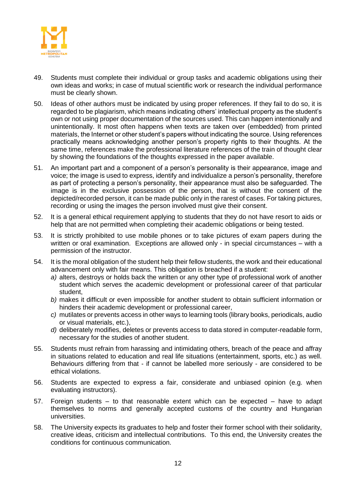

- 49. Students must complete their individual or group tasks and academic obligations using their own ideas and works; in case of mutual scientific work or research the individual performance must be clearly shown.
- 50. Ideas of other authors must be indicated by using proper references. If they fail to do so, it is regarded to be plagiarism, which means indicating others' intellectual property as the student's own or not using proper documentation of the sources used. This can happen intentionally and unintentionally. It most often happens when texts are taken over (embedded) from printed materials, the Internet or other student's papers without indicating the source. Using references practically means acknowledging another person's property rights to their thoughts. At the same time, references make the professional literature references of the train of thought clear by showing the foundations of the thoughts expressed in the paper available.
- 51. An important part and a component of a person's personality is their appearance, image and voice; the image is used to express, identify and individualize a person's personality, therefore as part of protecting a person's personality, their appearance must also be safeguarded. The image is in the exclusive possession of the person, that is without the consent of the depicted/recorded person, it can be made public only in the rarest of cases. For taking pictures, recording or using the images the person involved must give their consent.
- 52. It is a general ethical requirement applying to students that they do not have resort to aids or help that are not permitted when completing their academic obligations or being tested.
- 53. It is strictly prohibited to use mobile phones or to take pictures of exam papers during the written or oral examination. Exceptions are allowed only - in special circumstances – with a permission of the instructor.
- 54. It is the moral obligation of the student help their fellow students, the work and their educational advancement only with fair means. This obligation is breached if a student:
	- *a)* alters, destroys or holds back the written or any other type of professional work of another student which serves the academic development or professional career of that particular student,
	- *b)* makes it difficult or even impossible for another student to obtain sufficient information or hinders their academic development or professional career,
	- *c)* mutilates or prevents access in other ways to learning tools (library books, periodicals, audio or visual materials, etc.),
	- *d)* deliberately modifies, deletes or prevents access to data stored in computer-readable form, necessary for the studies of another student.
- 55. Students must refrain from harassing and intimidating others, breach of the peace and affray in situations related to education and real life situations (entertainment, sports, etc.) as well. Behaviours differing from that - if cannot be labelled more seriously - are considered to be ethical violations.
- 56. Students are expected to express a fair, considerate and unbiased opinion (e.g. when evaluating instructors).
- 57. Foreign students to that reasonable extent which can be expected have to adapt themselves to norms and generally accepted customs of the country and Hungarian universities.
- 58. The University expects its graduates to help and foster their former school with their solidarity, creative ideas, criticism and intellectual contributions. To this end, the University creates the conditions for continuous communication.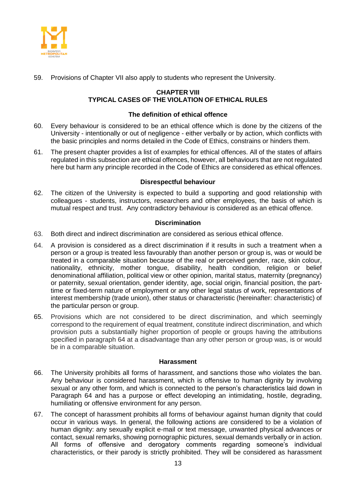

<span id="page-12-0"></span>59. Provisions of Chapter VII also apply to students who represent the University.

# **CHAPTER VIII TYPICAL CASES OF THE VIOLATION OF ETHICAL RULES**

#### **The definition of ethical offence**

- <span id="page-12-1"></span>60. Every behaviour is considered to be an ethical offence which is done by the citizens of the University - intentionally or out of negligence - either verbally or by action, which conflicts with the basic principles and norms detailed in the Code of Ethics, constrains or hinders them.
- 61. The present chapter provides a list of examples for ethical offences. All of the states of affairs regulated in this subsection are ethical offences, however, all behaviours that are not regulated here but harm any principle recorded in the Code of Ethics are considered as ethical offences.

#### **Disrespectful behaviour**

<span id="page-12-2"></span>62. The citizen of the University is expected to build a supporting and good relationship with colleagues - students, instructors, researchers and other employees, the basis of which is mutual respect and trust. Any contradictory behaviour is considered as an ethical offence.

# **Discrimination**

- <span id="page-12-3"></span>63. Both direct and indirect discrimination are considered as serious ethical offence.
- 64. A provision is considered as a direct discrimination if it results in such a treatment when a person or a group is treated less favourably than another person or group is, was or would be treated in a comparable situation because of the real or perceived gender, race, skin colour, nationality, ethnicity, mother tongue, disability, health condition, religion or belief denominational affiliation, political view or other opinion, marital status, maternity (pregnancy) or paternity, sexual orientation, gender identity, age, social origin, financial position, the parttime or fixed-term nature of employment or any other legal status of work, representations of interest membership (trade union), other status or characteristic (hereinafter: characteristic) of the particular person or group.
- 65. Provisions which are not considered to be direct discrimination, and which seemingly correspond to the requirement of equal treatment, constitute indirect discrimination, and which provision puts a substantially higher proportion of people or groups having the attributions specified in paragraph 64 at a disadvantage than any other person or group was, is or would be in a comparable situation.

#### **Harassment**

- <span id="page-12-4"></span>66. The University prohibits all forms of harassment, and sanctions those who violates the ban. Any behaviour is considered harassment, which is offensive to human dignity by involving sexual or any other form, and which is connected to the person's characteristics laid down in Paragraph 64 and has a purpose or effect developing an intimidating, hostile, degrading, humiliating or offensive environment for any person.
- 67. The concept of harassment prohibits all forms of behaviour against human dignity that could occur in various ways. In general, the following actions are considered to be a violation of human dignity: any sexually explicit e-mail or text message, unwanted physical advances or contact, sexual remarks, showing pornographic pictures, sexual demands verbally or in action. All forms of offensive and derogatory comments regarding someone's individual characteristics, or their parody is strictly prohibited. They will be considered as harassment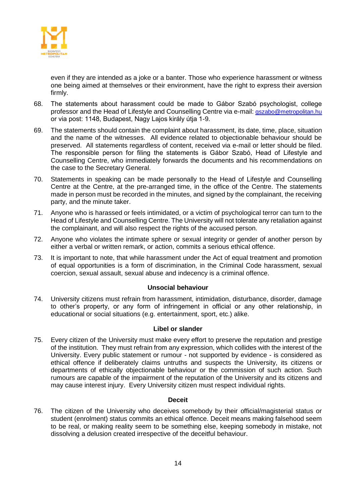

even if they are intended as a joke or a banter. Those who experience harassment or witness one being aimed at themselves or their environment, have the right to express their aversion firmly.

- 68. The statements about harassment could be made to Gábor Szabó psychologist, college professor and the Head of Lifestyle and Counselling Centre via e-mail: [gszabo@metropolitan.hu](mailto:gszabo@metropolitan.hu) or via post: 1148, Budapest, Nagy Lajos király útja 1-9.
- 69. The statements should contain the complaint about harassment, its date, time, place, situation and the name of the witnesses. All evidence related to objectionable behaviour should be preserved. All statements regardless of content, received via e-mail or letter should be filed. The responsible person for filing the statements is Gábor Szabó, Head of Lifestyle and Counselling Centre, who immediately forwards the documents and his recommendations on the case to the Secretary General.
- 70. Statements in speaking can be made personally to the Head of Lifestyle and Counselling Centre at the Centre, at the pre-arranged time, in the office of the Centre. The statements made in person must be recorded in the minutes, and signed by the complainant, the receiving party, and the minute taker.
- 71. Anyone who is harassed or feels intimidated, or a victim of psychological terror can turn to the Head of Lifestyle and Counselling Centre. The University will not tolerate any retaliation against the complainant, and will also respect the rights of the accused person.
- 72. Anyone who violates the intimate sphere or sexual integrity or gender of another person by either a verbal or written remark, or action, commits a serious ethical offence.
- 73. It is important to note, that while harassment under the Act of equal treatment and promotion of equal opportunities is a form of discrimination, in the Criminal Code harassment, sexual coercion, sexual assault, sexual abuse and indecency is a criminal offence.

# **Unsocial behaviour**

<span id="page-13-0"></span>74. University citizens must refrain from harassment, intimidation, disturbance, disorder, damage to other's property, or any form of infringement in official or any other relationship, in educational or social situations (e.g. entertainment, sport, etc.) alike.

# **Libel or slander**

<span id="page-13-1"></span>75. Every citizen of the University must make every effort to preserve the reputation and prestige of the institution. They must refrain from any expression, which collides with the interest of the University. Every public statement or rumour - not supported by evidence - is considered as ethical offence if deliberately claims untruths and suspects the University, its citizens or departments of ethically objectionable behaviour or the commission of such action. Such rumours are capable of the impairment of the reputation of the University and its citizens and may cause interest injury. Every University citizen must respect individual rights.

#### **Deceit**

<span id="page-13-2"></span>76. The citizen of the University who deceives somebody by their official/magisterial status or student (enrolment) status commits an ethical offence. Deceit means making falsehood seem to be real, or making reality seem to be something else, keeping somebody in mistake, not dissolving a delusion created irrespective of the deceitful behaviour.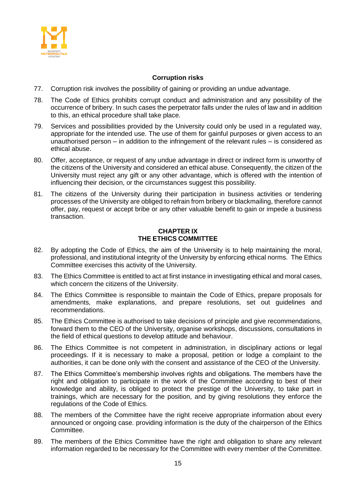

# **Corruption risks**

- <span id="page-14-0"></span>77. Corruption risk involves the possibility of gaining or providing an undue advantage.
- 78. The Code of Ethics prohibits corrupt conduct and administration and any possibility of the occurrence of bribery. In such cases the perpetrator falls under the rules of law and in addition to this, an ethical procedure shall take place.
- 79. Services and possibilities provided by the University could only be used in a regulated way, appropriate for the intended use. The use of them for gainful purposes or given access to an unauthorised person – in addition to the infringement of the relevant rules – is considered as ethical abuse.
- 80. Offer, acceptance, or request of any undue advantage in direct or indirect form is unworthy of the citizens of the University and considered an ethical abuse. Consequently, the citizen of the University must reject any gift or any other advantage, which is offered with the intention of influencing their decision, or the circumstances suggest this possibility.
- 81. The citizens of the University during their participation in business activities or tendering processes of the University are obliged to refrain from bribery or blackmailing, therefore cannot offer, pay, request or accept bribe or any other valuable benefit to gain or impede a business transaction.

# **CHAPTER IX THE ETHICS COMMITTEE**

- <span id="page-14-1"></span>82. By adopting the Code of Ethics, the aim of the University is to help maintaining the moral, professional, and institutional integrity of the University by enforcing ethical norms. The Ethics Committee exercises this activity of the University.
- 83. The Ethics Committee is entitled to act at first instance in investigating ethical and moral cases, which concern the citizens of the University.
- 84. The Ethics Committee is responsible to maintain the Code of Ethics, prepare proposals for amendments, make explanations, and prepare resolutions, set out guidelines and recommendations.
- 85. The Ethics Committee is authorised to take decisions of principle and give recommendations, forward them to the CEO of the University, organise workshops, discussions, consultations in the field of ethical questions to develop attitude and behaviour.
- 86. The Ethics Committee is not competent in administration, in disciplinary actions or legal proceedings. If it is necessary to make a proposal, petition or lodge a complaint to the authorities, it can be done only with the consent and assistance of the CEO of the University.
- 87. The Ethics Committee's membership involves rights and obligations. The members have the right and obligation to participate in the work of the Committee according to best of their knowledge and ability, is obliged to protect the prestige of the University, to take part in trainings, which are necessary for the position, and by giving resolutions they enforce the regulations of the Code of Ethics.
- 88. The members of the Committee have the right receive appropriate information about every announced or ongoing case. providing information is the duty of the chairperson of the Ethics Committee.
- 89. The members of the Ethics Committee have the right and obligation to share any relevant information regarded to be necessary for the Committee with every member of the Committee.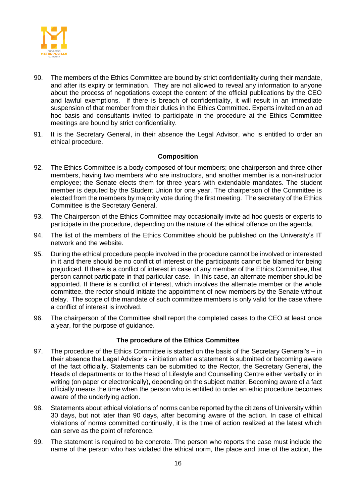

- 90. The members of the Ethics Committee are bound by strict confidentiality during their mandate, and after its expiry or termination. They are not allowed to reveal any information to anyone about the process of negotiations except the content of the official publications by the CEO and lawful exemptions. If there is breach of confidentiality, it will result in an immediate suspension of that member from their duties in the Ethics Committee. Experts invited on an ad hoc basis and consultants invited to participate in the procedure at the Ethics Committee meetings are bound by strict confidentiality.
- 91. It is the Secretary General, in their absence the Legal Advisor, who is entitled to order an ethical procedure.

# **Composition**

- <span id="page-15-0"></span>92. The Ethics Committee is a body composed of four members; one chairperson and three other members, having two members who are instructors, and another member is a non-instructor employee; the Senate elects them for three years with extendable mandates. The student member is deputed by the Student Union for one year. The chairperson of the Committee is elected from the members by majority vote during the first meeting. The secretary of the Ethics Committee is the Secretary General.
- 93. The Chairperson of the Ethics Committee may occasionally invite ad hoc guests or experts to participate in the procedure, depending on the nature of the ethical offence on the agenda.
- 94. The list of the members of the Ethics Committee should be published on the University's IT network and the website.
- 95. During the ethical procedure people involved in the procedure cannot be involved or interested in it and there should be no conflict of interest or the participants cannot be blamed for being prejudiced. If there is a conflict of interest in case of any member of the Ethics Committee, that person cannot participate in that particular case. In this case, an alternate member should be appointed. If there is a conflict of interest, which involves the alternate member or the whole committee, the rector should initiate the appointment of new members by the Senate without delay. The scope of the mandate of such committee members is only valid for the case where a conflict of interest is involved.
- 96. The chairperson of the Committee shall report the completed cases to the CEO at least once a year, for the purpose of guidance.

# **The procedure of the Ethics Committee**

- <span id="page-15-1"></span>97. The procedure of the Ethics Committee is started on the basis of the Secretary General's – in their absence the Legal Advisor's - initiation after a statement is submitted or becoming aware of the fact officially. Statements can be submitted to the Rector, the Secretary General, the Heads of departments or to the Head of Lifestyle and Counselling Centre either verbally or in writing (on paper or electronically), depending on the subject matter. Becoming aware of a fact officially means the time when the person who is entitled to order an ethic procedure becomes aware of the underlying action.
- 98. Statements about ethical violations of norms can be reported by the citizens of University within 30 days, but not later than 90 days, after becoming aware of the action. In case of ethical violations of norms committed continually, it is the time of action realized at the latest which can serve as the point of reference.
- 99. The statement is required to be concrete. The person who reports the case must include the name of the person who has violated the ethical norm, the place and time of the action, the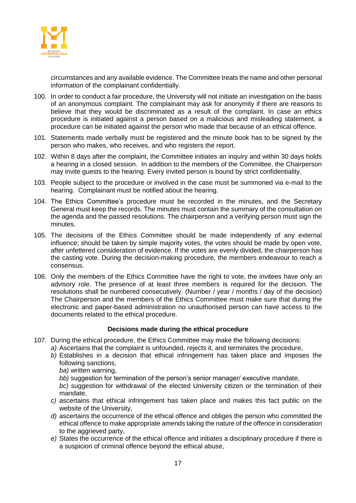

circumstances and any available evidence. The Committee treats the name and other personal information of the complainant confidentially.

- 100. In order to conduct a fair procedure, the University will not initiate an investigation on the basis of an anonymous complaint. The complainant may ask for anonymity if there are reasons to believe that they would be discriminated as a result of the complaint. In case an ethics procedure is initiated against a person based on a malicious and misleading statement, a procedure can be initiated against the person who made that because of an ethical offence.
- 101. Statements made verbally must be registered and the minute book has to be signed by the person who makes, who receives, and who registers the report.
- 102. Within 8 days after the complaint, the Committee initiates an inquiry and within 30 days holds a hearing in a closed session. In addition to the members of the Committee, the Chairperson may invite guests to the hearing. Every invited person is bound by strict confidentiality.
- 103. People subject to the procedure or involved in the case must be summoned via e-mail to the hearing. Complainant must be notified about the hearing.
- 104. The Ethics Committee's procedure must be recorded in the minutes, and the Secretary General must keep the records. The minutes must contain the summary of the consultation on the agenda and the passed resolutions. The chairperson and a verifying person must sign the minutes.
- 105. The decisions of the Ethics Committee should be made independently of any external influence; should be taken by simple majority votes, the votes should be made by open vote, after unfettered consideration of evidence. If the votes are evenly divided, the chairperson has the casting vote. During the decision-making procedure, the members endeavour to reach a consensus.
- 106. Only the members of the Ethics Committee have the right to vote, the invitees have only an advisory role. The presence of at least three members is required for the decision. The resolutions shall be numbered consecutively. (Number / year / months / day of the decision) The Chairperson and the members of the Ethics Committee must make sure that during the electronic and paper-based administration no unauthorised person can have access to the documents related to the ethical procedure.

# **Decisions made during the ethical procedure**

- <span id="page-16-0"></span>107. During the ethical procedure, the Ethics Committee may make the following decisions:
	- *a)* Ascertains that the complaint is unfounded, rejects it, and terminates the procedure,
	- *b)* Establishes in a decision that ethical infringement has taken place and imposes the following sanctions,
		- *ba)* written warning,
		- bb) suggestion for termination of the person's senior manager/ executive mandate.
		- *bc)* suggestion for withdrawal of the elected University citizen or the termination of their mandate,
	- *c)* ascertains that ethical infringement has taken place and makes this fact public on the website of the University,
	- *d)* ascertains the occurrence of the ethical offence and obliges the person who committed the ethical offence to make appropriate amends taking the nature of the offence in consideration to the aggrieved party,
	- *e)* States the occurrence of the ethical offence and initiates a disciplinary procedure if there is a suspicion of criminal offence beyond the ethical abuse,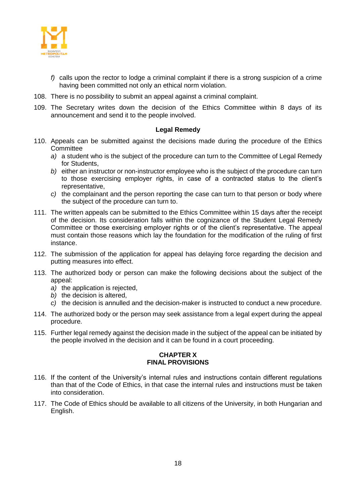

- *f)* calls upon the rector to lodge a criminal complaint if there is a strong suspicion of a crime having been committed not only an ethical norm violation.
- 108. There is no possibility to submit an appeal against a criminal complaint.
- 109. The Secretary writes down the decision of the Ethics Committee within 8 days of its announcement and send it to the people involved.

#### **Legal Remedy**

- <span id="page-17-0"></span>110. Appeals can be submitted against the decisions made during the procedure of the Ethics **Committee** 
	- *a)* a student who is the subject of the procedure can turn to the Committee of Legal Remedy for Students,
	- *b)* either an instructor or non-instructor employee who is the subject of the procedure can turn to those exercising employer rights, in case of a contracted status to the client's representative,
	- *c)* the complainant and the person reporting the case can turn to that person or body where the subject of the procedure can turn to.
- 111. The written appeals can be submitted to the Ethics Committee within 15 days after the receipt of the decision. Its consideration falls within the cognizance of the Student Legal Remedy Committee or those exercising employer rights or of the client's representative. The appeal must contain those reasons which lay the foundation for the modification of the ruling of first instance.
- 112. The submission of the application for appeal has delaying force regarding the decision and putting measures into effect.
- 113. The authorized body or person can make the following decisions about the subject of the appeal:
	- *a)* the application is rejected,
	- *b)* the decision is altered,
	- *c)* the decision is annulled and the decision-maker is instructed to conduct a new procedure.
- 114. The authorized body or the person may seek assistance from a legal expert during the appeal procedure.
- <span id="page-17-1"></span>115. Further legal remedy against the decision made in the subject of the appeal can be initiated by the people involved in the decision and it can be found in a court proceeding.

#### **CHAPTER X FINAL PROVISIONS**

- 116. If the content of the University's internal rules and instructions contain different regulations than that of the Code of Ethics, in that case the internal rules and instructions must be taken into consideration.
- 117. The Code of Ethics should be available to all citizens of the University, in both Hungarian and English.